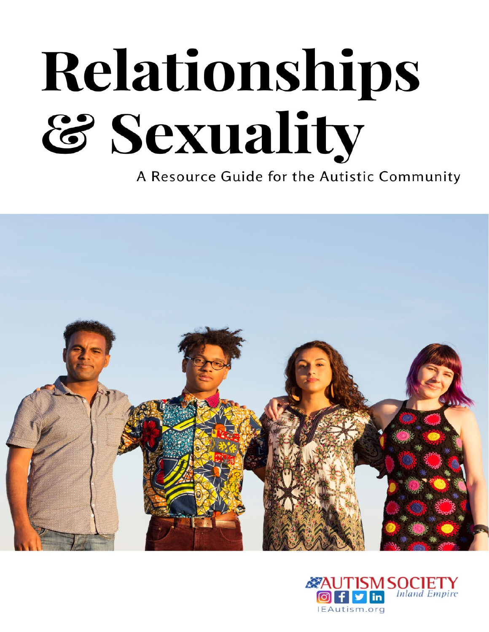# Relationships & Sexuality

A Resource Guide for the Autistic Community



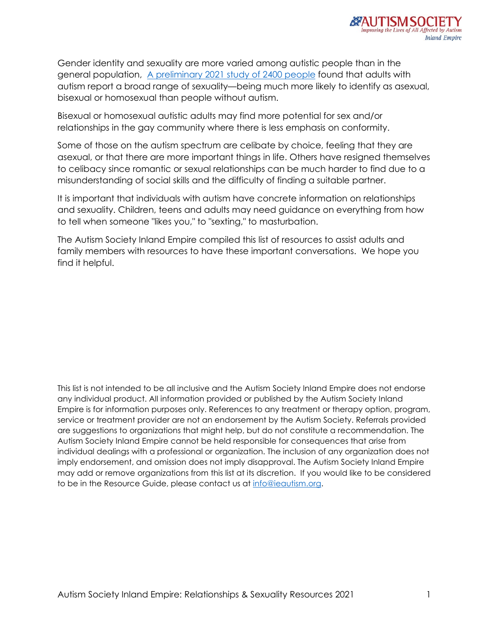

Gender identity and sexuality are more varied among autistic people than in the general population, [A preliminary 2021 study of 2400 people](https://medicalxpress.com/news/2021-05-sexuality-people-autism.html) found that adults with autism report a broad range of sexuality—being much more likely to identify as asexual, bisexual or homosexual than people without autism.

Bisexual or homosexual autistic adults may find more potential for sex and/or relationships in the gay community where there is less emphasis on conformity.

Some of those on the autism spectrum are celibate by choice, feeling that they are asexual, or that there are more important things in life. Others have resigned themselves to celibacy since romantic or sexual relationships can be much harder to find due to a misunderstanding of social skills and the difficulty of finding a suitable partner.

It is important that individuals with autism have concrete information on relationships and sexuality. Children, teens and adults may need guidance on everything from how to tell when someone "likes you," to "sexting," to masturbation.

The Autism Society Inland Empire compiled this list of resources to assist adults and family members with resources to have these important conversations. We hope you find it helpful.

This list is not intended to be all inclusive and the Autism Society Inland Empire does not endorse any individual product. All information provided or published by the Autism Society Inland Empire is for information purposes only. References to any treatment or therapy option, program, service or treatment provider are not an endorsement by the Autism Society. Referrals provided are suggestions to organizations that might help, but do not constitute a recommendation. The Autism Society Inland Empire cannot be held responsible for consequences that arise from individual dealings with a professional or organization. The inclusion of any organization does not imply endorsement, and omission does not imply disapproval. The Autism Society Inland Empire may add or remove organizations from this list at its discretion. If you would like to be considered to be in the Resource Guide, please contact us at [info@ieautism.org.](mailto:info@ieautism.org)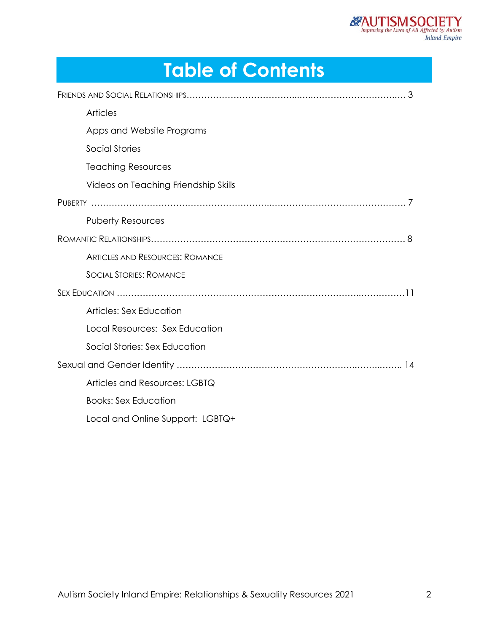# **Table of Contents**

| <b>Articles</b>                        |
|----------------------------------------|
| Apps and Website Programs              |
| <b>Social Stories</b>                  |
| <b>Teaching Resources</b>              |
| Videos on Teaching Friendship Skills   |
|                                        |
| <b>Puberty Resources</b>               |
|                                        |
| <b>ARTICLES AND RESOURCES: ROMANCE</b> |
| <b>SOCIAL STORIES: ROMANCE</b>         |
|                                        |
| Articles: Sex Education                |
| Local Resources: Sex Education         |
| Social Stories: Sex Education          |
|                                        |
| Articles and Resources: LGBTQ          |
| <b>Books: Sex Education</b>            |
| Local and Online Support: LGBTQ+       |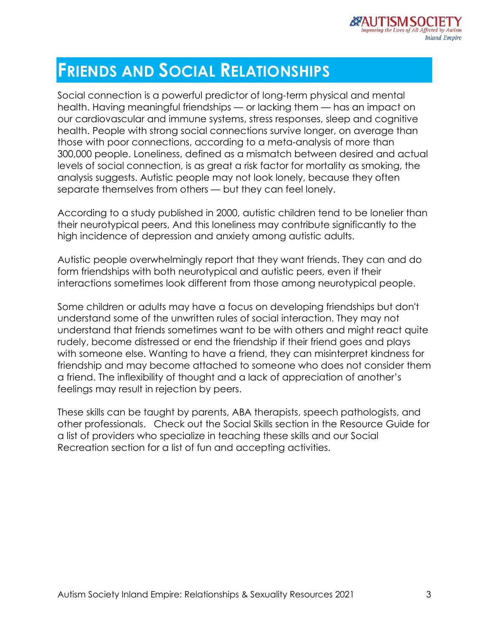# **FRIENDS AND SOCIAL RELATIONSHIPS**

Social connection is a powerful predictor of long-term physical and mental health. Having meaningful friendships — or lacking them — has an impact on our cardiovascular and immune systems, stress responses, sleep and cognitive health. People with strong social connections survive longer, on average than those with poor connections, according to a meta-analysis of more than 300,000 people. Loneliness, defined as a mismatch between desired and actual levels of social connection, is as great a risk factor for mortality as smoking, the analysis suggests. Autistic people may not look lonely, because they often separate themselves from others — but they can feel lonely.

According to a study published in 2000, autistic children tend to be lonelier than their neurotypical peers, And this loneliness may contribute significantly to the high incidence of depression and anxiety among autistic adults.

Autistic people overwhelmingly report that they want friends. They can and do form friendships with both neurotypical and autistic peers, even if their interactions sometimes look different from those among neurotypical people.

Some children or adults may have a focus on developing friendships but don't understand some of the unwritten rules of social interaction. They may not understand that friends sometimes want to be with others and might react quite rudely, become distressed or end the friendship if their friend goes and plays with someone else. Wanting to have a friend, they can misinterpret kindness for friendship and may become attached to someone who does not consider them a friend. The inflexibility of thought and a lack of appreciation of another's feelings may result in rejection by peers.

These skills can be taught by parents, ABA therapists, speech pathologists, and other professionals. Check out the Social Skills section in the Resource Guide for a list of providers who specialize in teaching these skills and our Social Recreation section for a list of fun and accepting activities.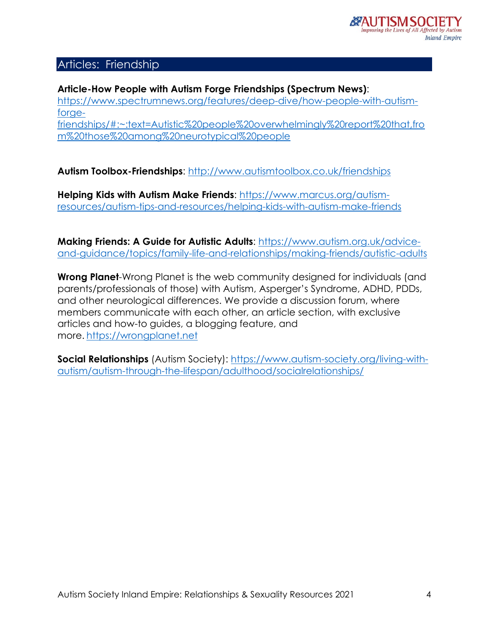## Articles: Friendship

#### **Article-How People with Autism Forge Friendships (Spectrum News)**: [https://www.spectrumnews.org/features/deep-dive/how-people-with-autism](https://www.spectrumnews.org/features/deep-dive/how-people-with-autism-forge-friendships/#:%7E:text=Autistic%20people%20overwhelmingly%20report%20that,from%20those%20among%20neurotypical%20people)[forge](https://www.spectrumnews.org/features/deep-dive/how-people-with-autism-forge-friendships/#:%7E:text=Autistic%20people%20overwhelmingly%20report%20that,from%20those%20among%20neurotypical%20people)[friendships/#:~:text=Autistic%20people%20overwhelmingly%20report%20that,fro](https://www.spectrumnews.org/features/deep-dive/how-people-with-autism-forge-friendships/#:%7E:text=Autistic%20people%20overwhelmingly%20report%20that,from%20those%20among%20neurotypical%20people) [m%20those%20among%20neurotypical%20people](https://www.spectrumnews.org/features/deep-dive/how-people-with-autism-forge-friendships/#:%7E:text=Autistic%20people%20overwhelmingly%20report%20that,from%20those%20among%20neurotypical%20people)

**Autism Toolbox-Friendships**: <http://www.autismtoolbox.co.uk/friendships>

**Helping Kids with Autism Make Friends**: [https://www.marcus.org/autism](https://www.marcus.org/autism-resources/autism-tips-and-resources/helping-kids-with-autism-make-friends)[resources/autism-tips-and-resources/helping-kids-with-autism-make-friends](https://www.marcus.org/autism-resources/autism-tips-and-resources/helping-kids-with-autism-make-friends)

**Making Friends: A Guide for Autistic Adults**: [https://www.autism.org.uk/advice](https://www.autism.org.uk/advice-and-guidance/topics/family-life-and-relationships/making-friends/autistic-adults)[and-guidance/topics/family-life-and-relationships/making-friends/autistic-adults](https://www.autism.org.uk/advice-and-guidance/topics/family-life-and-relationships/making-friends/autistic-adults)

**Wrong Planet**-Wrong Planet is the web community designed for individuals (and parents/professionals of those) with Autism, Asperger's Syndrome, ADHD, PDDs, and other neurological differences. We provide a discussion forum, where members communicate with each other, an article section, with exclusive articles and how-to guides, a blogging feature, and more. [https://wrongplanet.net](https://wrongplanet.net/)

**Social Relationships** (Autism Society): [https://www.autism-society.org/living-with](https://www.autism-society.org/living-with-autism/autism-through-the-lifespan/adulthood/socialrelationships/)[autism/autism-through-the-lifespan/adulthood/socialrelationships/](https://www.autism-society.org/living-with-autism/autism-through-the-lifespan/adulthood/socialrelationships/)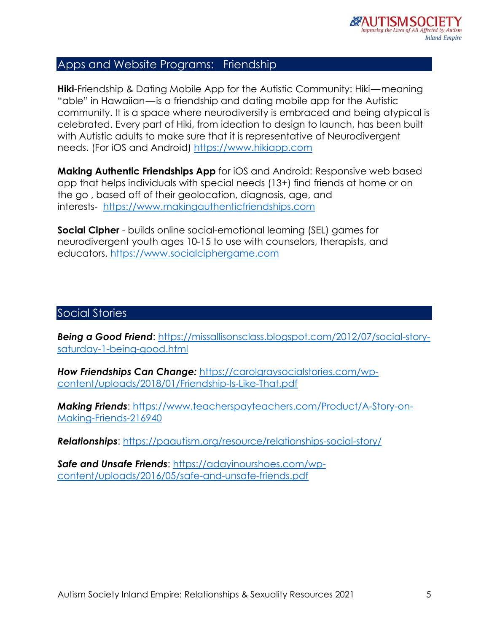#### Apps and Website Programs: Friendship

**Hiki**-Friendship & Dating Mobile App for the Autistic Community: Hiki—meaning "able" in Hawaiian—is a friendship and dating mobile app for the Autistic community. It is a space where neurodiversity is embraced and being atypical is celebrated. Every part of Hiki, from ideation to design to launch, has been built with Autistic adults to make sure that it is representative of Neurodivergent needs. (For iOS and Android) [https://www.hikiapp.com](https://www.hikiapp.com/)

**Making Authentic Friendships App** for iOS and Android: Responsive web based app that helps individuals with special needs (13+) find friends at home or on the go , based off of their geolocation, diagnosis, age, and interests- [https://www.makingauthenticfriendships.com](https://www.makingauthenticfriendships.com/)

**Social Cipher** - builds online social-emotional learning (SEL) games for neurodivergent youth ages 10-15 to use with counselors, therapists, and educators. [https://www.socialciphergame.com](https://www.socialciphergame.com/)

#### Social Stories

*Being a Good Friend*: [https://missallisonsclass.blogspot.com/2012/07/social-story](https://missallisonsclass.blogspot.com/2012/07/social-story-saturday-1-being-good.html)[saturday-1-being-good.html](https://missallisonsclass.blogspot.com/2012/07/social-story-saturday-1-being-good.html)

*How Friendships Can Change:* [https://carolgraysocialstories.com/wp](https://carolgraysocialstories.com/wp-content/uploads/2018/01/Friendship-Is-Like-That.pdf)[content/uploads/2018/01/Friendship-Is-Like-That.pdf](https://carolgraysocialstories.com/wp-content/uploads/2018/01/Friendship-Is-Like-That.pdf)

*Making Friends*: [https://www.teacherspayteachers.com/Product/A-Story-on-](https://www.teacherspayteachers.com/Product/A-Story-on-Making-Friends-216940)[Making-Friends-216940](https://www.teacherspayteachers.com/Product/A-Story-on-Making-Friends-216940)

*Relationships*: <https://paautism.org/resource/relationships-social-story/>

**Safe and Unsafe Friends: [https://adayinourshoes.com/wp](https://adayinourshoes.com/wp-content/uploads/2016/05/safe-and-unsafe-friends.pdf)**[content/uploads/2016/05/safe-and-unsafe-friends.pdf](https://adayinourshoes.com/wp-content/uploads/2016/05/safe-and-unsafe-friends.pdf)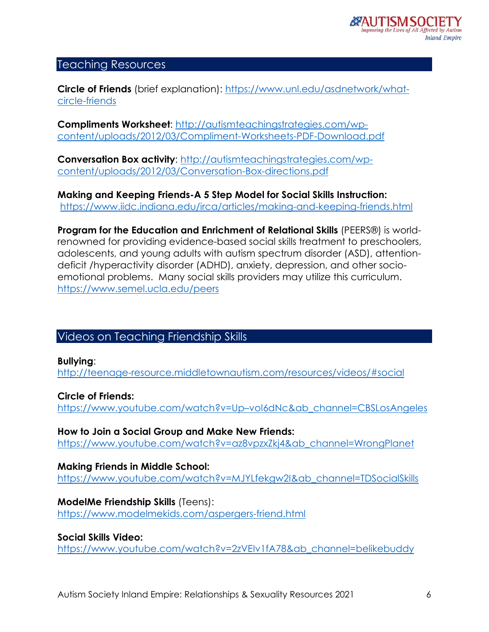#### Teaching Resources

**Circle of Friends** (brief explanation): [https://www.unl.edu/asdnetwork/what](https://www.unl.edu/asdnetwork/what-circle-friends)[circle-friends](https://www.unl.edu/asdnetwork/what-circle-friends)

**Compliments Worksheet**: [http://autismteachingstrategies.com/wp](http://autismteachingstrategies.com/wp-content/uploads/2012/03/Compliment-Worksheets-PDF-Download.pdf)[content/uploads/2012/03/Compliment-Worksheets-PDF-Download.pdf](http://autismteachingstrategies.com/wp-content/uploads/2012/03/Compliment-Worksheets-PDF-Download.pdf)

**Conversation Box activity:** [http://autismteachingstrategies.com/wp](http://autismteachingstrategies.com/wp-content/uploads/2012/03/Conversation-Box-directions.pdf)[content/uploads/2012/03/Conversation-Box-directions.pdf](http://autismteachingstrategies.com/wp-content/uploads/2012/03/Conversation-Box-directions.pdf)

**Making and Keeping Friends-A 5 Step Model for Social Skills Instruction:** <https://www.iidc.indiana.edu/irca/articles/making-and-keeping-friends.html>

**Program for the Education and Enrichment of Relational Skills** (PEERS®) is worldrenowned for providing evidence-based social skills treatment to preschoolers, adolescents, and young adults with autism spectrum disorder (ASD), attentiondeficit /hyperactivity disorder (ADHD), anxiety, depression, and other socioemotional problems. Many social skills providers may utilize this curriculum. <https://www.semel.ucla.edu/peers>

## Videos on Teaching Friendship Skills

**Bullying**: <http://teenage-resource.middletownautism.com/resources/videos/#social>

**Circle of Friends:** [https://www.youtube.com/watch?v=Up–voI6dNc&ab\\_channel=CBSLosAngeles](https://www.youtube.com/watch?v=Up%E2%80%93voI6dNc&ab_channel=CBSLosAngeles)

**How to Join a Social Group and Make New Friends:** [https://www.youtube.com/watch?v=az8vpzxZkj4&ab\\_channel=WrongPlanet](https://www.youtube.com/watch?v=az8vpzxZkj4&ab_channel=WrongPlanet)

**Making Friends in Middle School:** [https://www.youtube.com/watch?v=MJYLfekgw2I&ab\\_channel=TDSocialSkills](https://www.youtube.com/watch?v=MJYLfekgw2I&ab_channel=TDSocialSkills)

**ModelMe Friendship Skills** (Teens): <https://www.modelmekids.com/aspergers-friend.html>

**Social Skills Video:** [https://www.youtube.com/watch?v=2zVEIv1fA78&ab\\_channel=belikebuddy](https://www.youtube.com/watch?v=2zVEIv1fA78&ab_channel=belikebuddy)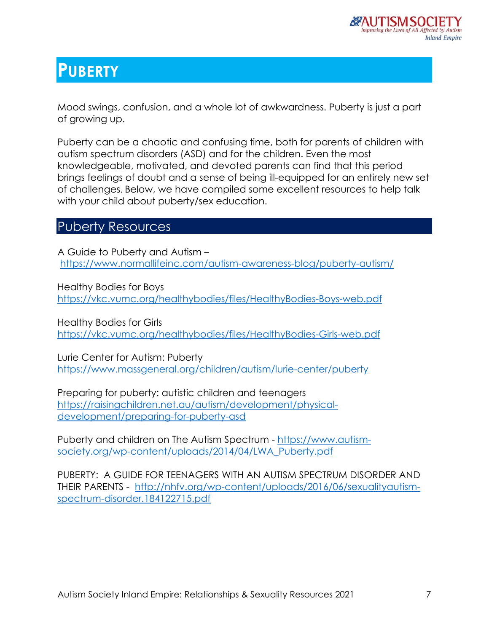# **PUBERTY**

Mood swings, confusion, and a whole lot of awkwardness. Puberty is just a part of growing up.

Puberty can be a chaotic and confusing time, both for parents of children with autism spectrum disorders (ASD) and for the children. Even the most knowledgeable, motivated, and devoted parents can find that this period brings feelings of doubt and a sense of being ill-equipped for an entirely new set of challenges. Below, we have compiled some excellent resources to help talk with your child about puberty/sex education.

## Puberty Resources

A Guide to Puberty and Autism – <https://www.normallifeinc.com/autism-awareness-blog/puberty-autism/>

Healthy Bodies for Boys <https://vkc.vumc.org/healthybodies/files/HealthyBodies-Boys-web.pdf>

Healthy Bodies for Girls <https://vkc.vumc.org/healthybodies/files/HealthyBodies-Girls-web.pdf>

Lurie Center for Autism: Puberty <https://www.massgeneral.org/children/autism/lurie-center/puberty>

Preparing for puberty: autistic children and teenagers [https://raisingchildren.net.au/autism/development/physical](https://raisingchildren.net.au/autism/development/physical-development/preparing-for-puberty-asd)[development/preparing-for-puberty-asd](https://raisingchildren.net.au/autism/development/physical-development/preparing-for-puberty-asd)

Puberty and children on The Autism Spectrum - [https://www.autism](https://www.autism-society.org/wp-content/uploads/2014/04/LWA_Puberty.pdf)[society.org/wp-content/uploads/2014/04/LWA\\_Puberty.pdf](https://www.autism-society.org/wp-content/uploads/2014/04/LWA_Puberty.pdf)

PUBERTY: A GUIDE FOR TEENAGERS WITH AN AUTISM SPECTRUM DISORDER AND THEIR PARENTS - [http://nhfv.org/wp-content/uploads/2016/06/sexualityautism](http://nhfv.org/wp-content/uploads/2016/06/sexualityautism-spectrum-disorder.184122715.pdf)[spectrum-disorder.184122715.pdf](http://nhfv.org/wp-content/uploads/2016/06/sexualityautism-spectrum-disorder.184122715.pdf)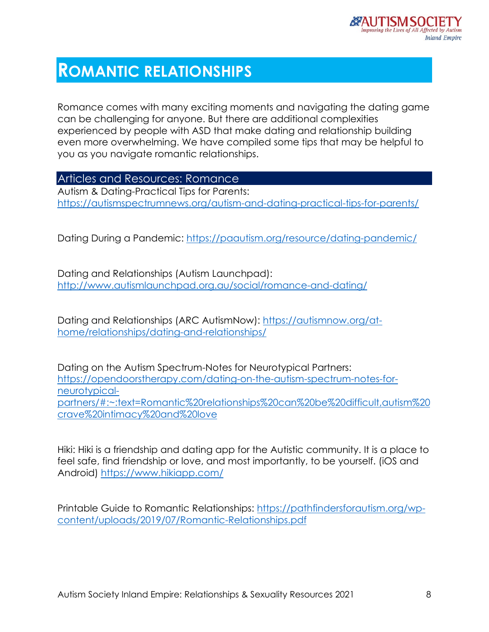# **ROMANTIC RELATIONSHIPS**

Romance comes with many exciting moments and navigating the dating game can be challenging for anyone. But there are additional complexities experienced by people with ASD that make dating and relationship building even more overwhelming. We have compiled some tips that may be helpful to you as you navigate romantic relationships.

Articles and Resources: Romance

Autism & Dating-Practical Tips for Parents: <https://autismspectrumnews.org/autism-and-dating-practical-tips-for-parents/>

Dating During a Pandemic:<https://paautism.org/resource/dating-pandemic/>

Dating and Relationships (Autism Launchpad): <http://www.autismlaunchpad.org.au/social/romance-and-dating/>

Dating and Relationships (ARC AutismNow): [https://autismnow.org/at](https://autismnow.org/at-home/relationships/dating-and-relationships/)[home/relationships/dating-and-relationships/](https://autismnow.org/at-home/relationships/dating-and-relationships/)

Dating on the Autism Spectrum-Notes for Neurotypical Partners: [https://opendoorstherapy.com/dating-on-the-autism-spectrum-notes-for](https://opendoorstherapy.com/dating-on-the-autism-spectrum-notes-for-neurotypical-partners/#:%7E:text=Romantic%20relationships%20can%20be%20difficult,autism%20crave%20intimacy%20and%20love)[neurotypical](https://opendoorstherapy.com/dating-on-the-autism-spectrum-notes-for-neurotypical-partners/#:%7E:text=Romantic%20relationships%20can%20be%20difficult,autism%20crave%20intimacy%20and%20love)[partners/#:~:text=Romantic%20relationships%20can%20be%20difficult,autism%20](https://opendoorstherapy.com/dating-on-the-autism-spectrum-notes-for-neurotypical-partners/#:%7E:text=Romantic%20relationships%20can%20be%20difficult,autism%20crave%20intimacy%20and%20love) [crave%20intimacy%20and%20love](https://opendoorstherapy.com/dating-on-the-autism-spectrum-notes-for-neurotypical-partners/#:%7E:text=Romantic%20relationships%20can%20be%20difficult,autism%20crave%20intimacy%20and%20love)

Hiki: Hiki is a friendship and dating app for the Autistic community. It is a place to feel safe, find friendship or love, and most importantly, to be yourself. (iOS and Android)<https://www.hikiapp.com/>

Printable Guide to Romantic Relationships: [https://pathfindersforautism.org/wp](https://pathfindersforautism.org/wp-content/uploads/2019/07/Romantic-Relationships.pdf)[content/uploads/2019/07/Romantic-Relationships.pdf](https://pathfindersforautism.org/wp-content/uploads/2019/07/Romantic-Relationships.pdf)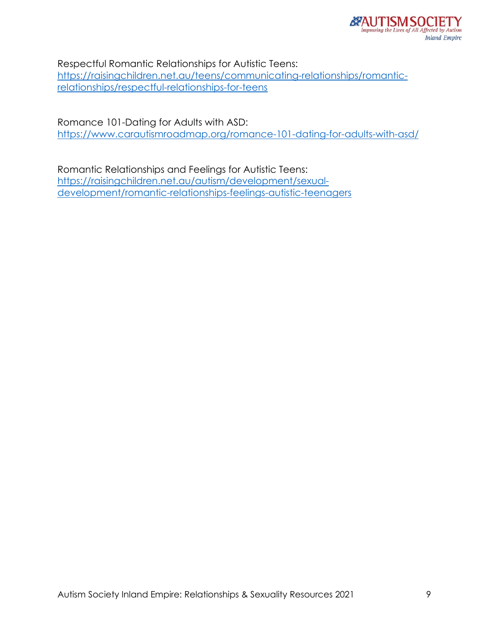Respectful Romantic Relationships for Autistic Teens: [https://raisingchildren.net.au/teens/communicating-relationships/romantic](https://raisingchildren.net.au/teens/communicating-relationships/romantic-relationships/respectful-relationships-for-teens)[relationships/respectful-relationships-for-teens](https://raisingchildren.net.au/teens/communicating-relationships/romantic-relationships/respectful-relationships-for-teens)

Romance 101-Dating for Adults with ASD: <https://www.carautismroadmap.org/romance-101-dating-for-adults-with-asd/>

Romantic Relationships and Feelings for Autistic Teens: [https://raisingchildren.net.au/autism/development/sexual](https://raisingchildren.net.au/autism/development/sexual-development/romantic-relationships-feelings-autistic-teenagers)[development/romantic-relationships-feelings-autistic-teenagers](https://raisingchildren.net.au/autism/development/sexual-development/romantic-relationships-feelings-autistic-teenagers)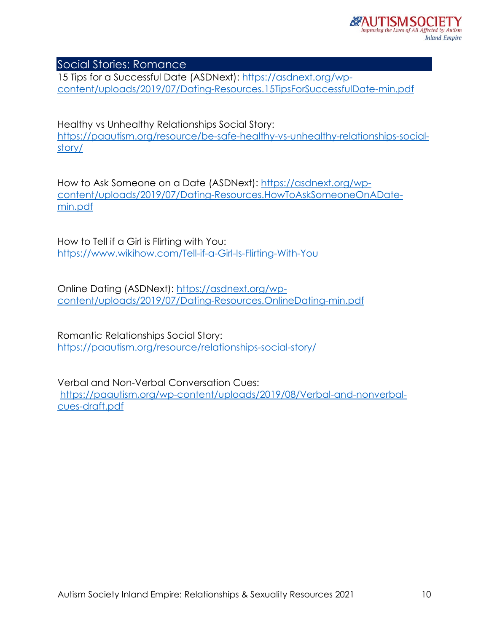Social Stories: Romance

15 Tips for a Successful Date (ASDNext): [https://asdnext.org/wp](https://asdnext.org/wp-content/uploads/2019/07/Dating-Resources.15TipsForSuccessfulDate-min.pdf)[content/uploads/2019/07/Dating-Resources.15TipsForSuccessfulDate-min.pdf](https://asdnext.org/wp-content/uploads/2019/07/Dating-Resources.15TipsForSuccessfulDate-min.pdf)

Healthy vs Unhealthy Relationships Social Story: [https://paautism.org/resource/be-safe-healthy-vs-unhealthy-relationships-social](https://paautism.org/resource/be-safe-healthy-vs-unhealthy-relationships-social-story/)[story/](https://paautism.org/resource/be-safe-healthy-vs-unhealthy-relationships-social-story/)

How to Ask Someone on a Date (ASDNext): [https://asdnext.org/wp](https://asdnext.org/wp-content/uploads/2019/07/Dating-Resources.HowToAskSomeoneOnADate-min.pdf)[content/uploads/2019/07/Dating-Resources.HowToAskSomeoneOnADate](https://asdnext.org/wp-content/uploads/2019/07/Dating-Resources.HowToAskSomeoneOnADate-min.pdf)[min.pdf](https://asdnext.org/wp-content/uploads/2019/07/Dating-Resources.HowToAskSomeoneOnADate-min.pdf)

How to Tell if a Girl is Flirting with You: <https://www.wikihow.com/Tell-if-a-Girl-Is-Flirting-With-You>

Online Dating (ASDNext): [https://asdnext.org/wp](https://asdnext.org/wp-content/uploads/2019/07/Dating-Resources.OnlineDating-min.pdf)[content/uploads/2019/07/Dating-Resources.OnlineDating-min.pdf](https://asdnext.org/wp-content/uploads/2019/07/Dating-Resources.OnlineDating-min.pdf)

Romantic Relationships Social Story: <https://paautism.org/resource/relationships-social-story/>

Verbal and Non-Verbal Conversation Cues: [https://paautism.org/wp-content/uploads/2019/08/Verbal-and-nonverbal](https://paautism.org/wp-content/uploads/2019/08/Verbal-and-nonverbal-cues-draft.pdf)[cues-draft.pdf](https://paautism.org/wp-content/uploads/2019/08/Verbal-and-nonverbal-cues-draft.pdf)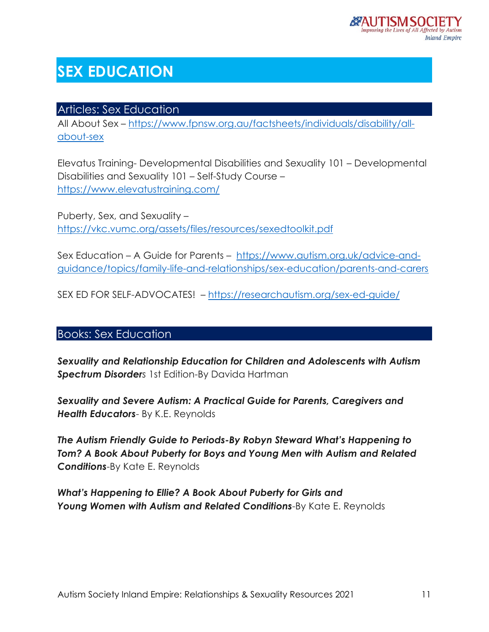# **SEX EDUCATION**

### Articles: Sex Education

All About Sex – [https://www.fpnsw.org.au/factsheets/individuals/disability/all](https://www.fpnsw.org.au/factsheets/individuals/disability/all-about-sex)[about-sex](https://www.fpnsw.org.au/factsheets/individuals/disability/all-about-sex)

Elevatus Training- Developmental Disabilities and Sexuality 101 – Developmental Disabilities and Sexuality 101 – Self-Study Course – <https://www.elevatustraining.com/>

Puberty, Sex, and Sexuality – <https://vkc.vumc.org/assets/files/resources/sexedtoolkit.pdf>

Sex Education – A Guide for Parents – [https://www.autism.org.uk/advice-and](https://www.autism.org.uk/advice-and-guidance/topics/family-life-and-relationships/sex-education/parents-and-carers)[guidance/topics/family-life-and-relationships/sex-education/parents-and-carers](https://www.autism.org.uk/advice-and-guidance/topics/family-life-and-relationships/sex-education/parents-and-carers)

SEX ED FOR SELF-ADVOCATES! – <https://researchautism.org/sex-ed-guide/>

## Books: Sex Education

*Sexuality and Relationship Education for Children and Adolescents with Autism Spectrum Disorders* 1st Edition-By Davida Hartman

*Sexuality and Severe Autism: A Practical Guide for Parents, Caregivers and Health Educators*- By K.E. Reynolds

*The Autism Friendly Guide to Periods-By Robyn Steward What's Happening to Tom? A Book About Puberty for Boys and Young Men with Autism and Related Conditions*-By Kate E. Reynolds

*What's Happening to Ellie? A Book About Puberty for Girls and Young Women with Autism and Related Conditions*-By Kate E. Reynolds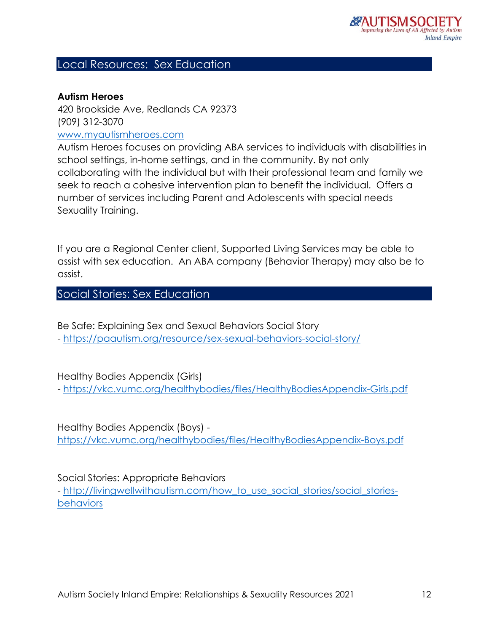#### Local Resources: Sex Education

#### **Autism Heroes**

420 Brookside Ave, Redlands CA 92373 (909) 312-3070 [www.myautismheroes.com](http://www.myautismheroes.com/)

Autism Heroes focuses on providing ABA services to individuals with disabilities in school settings, in-home settings, and in the community. By not only collaborating with the individual but with their professional team and family we seek to reach a cohesive intervention plan to benefit the individual. Offers a number of services including Parent and Adolescents with special needs Sexuality Training.

If you are a Regional Center client, Supported Living Services may be able to assist with sex education. An ABA company (Behavior Therapy) may also be to assist.

Social Stories: Sex Education

Be Safe: Explaining Sex and Sexual Behaviors Social Story - <https://paautism.org/resource/sex-sexual-behaviors-social-story/>

Healthy Bodies Appendix (Girls)

- <https://vkc.vumc.org/healthybodies/files/HealthyBodiesAppendix-Girls.pdf>

Healthy Bodies Appendix (Boys) <https://vkc.vumc.org/healthybodies/files/HealthyBodiesAppendix-Boys.pdf>

Social Stories: Appropriate Behaviors

- [http://livingwellwithautism.com/how\\_to\\_use\\_social\\_stories/social\\_stories](http://livingwellwithautism.com/how_to_use_social_stories/social_stories-behaviors)[behaviors](http://livingwellwithautism.com/how_to_use_social_stories/social_stories-behaviors)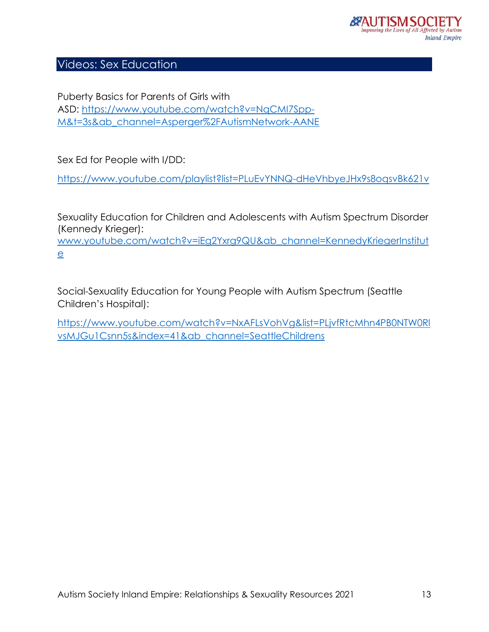## Videos: Sex Education

Puberty Basics for Parents of Girls with ASD: [https://www.youtube.com/watch?v=NqCMI7Spp-](https://www.youtube.com/watch?v=NqCMI7Spp-M&t=3s&ab_channel=Asperger%2FAutismNetwork-AANE)[M&t=3s&ab\\_channel=Asperger%2FAutismNetwork-AANE](https://www.youtube.com/watch?v=NqCMI7Spp-M&t=3s&ab_channel=Asperger%2FAutismNetwork-AANE)

Sex Ed for People with I/DD:

<https://www.youtube.com/playlist?list=PLuEvYNNQ-dHeVhbyeJHx9s8oqsvBk621v>

Sexuality Education for Children and Adolescents with Autism Spectrum Disorder (Kennedy Krieger): [www.youtube.com/watch?v=iEg2Yxrg9QU&ab\\_channel=KennedyKriegerInstitut](http://www.youtube.com/watch?v=iEg2Yxrg9QU&ab_channel=KennedyKriegerInstitute)

[e](http://www.youtube.com/watch?v=iEg2Yxrg9QU&ab_channel=KennedyKriegerInstitute)

Social-Sexuality Education for Young People with Autism Spectrum (Seattle Children's Hospital):

[https://www.youtube.com/watch?v=NxAFLsVohVg&list=PLjvfRtcMhn4PB0NTW0Rl](https://www.youtube.com/watch?v=NxAFLsVohVg&list=PLjvfRtcMhn4PB0NTW0RlvsMJGu1Csnn5s&index=41&ab_channel=SeattleChildrens) [vsMJGu1Csnn5s&index=41&ab\\_channel=SeattleChildrens](https://www.youtube.com/watch?v=NxAFLsVohVg&list=PLjvfRtcMhn4PB0NTW0RlvsMJGu1Csnn5s&index=41&ab_channel=SeattleChildrens)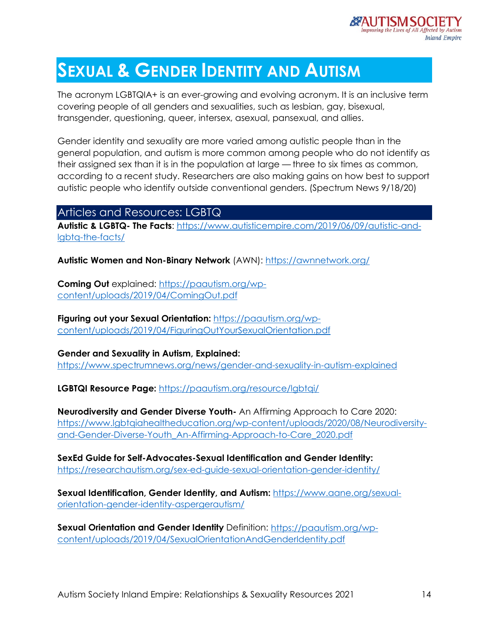

# **SEXUAL & GENDER IDENTITY AND AUTISM**

The acronym LGBTQIA+ is an ever-growing and evolving acronym. It is an inclusive term covering people of all genders and sexualities, such as lesbian, gay, bisexual, transgender, questioning, queer, intersex, asexual, pansexual, and allies.

Gender identity and sexuality are more varied among autistic people than in the general population, and autism is more common among people who do not identify as their assigned sex than it is in the population at large — three to six times as common, according to a recent study. Researchers are also making gains on how best to support autistic people who identify outside conventional genders. (Spectrum News 9/18/20)

#### Articles and Resources: LGBTQ

**Autistic & LGBTQ- The Facts**: [https://www.autisticempire.com/2019/06/09/autistic-and](https://www.autisticempire.com/2019/06/09/autistic-and-lgbtq-the-facts/)[lgbtq-the-facts/](https://www.autisticempire.com/2019/06/09/autistic-and-lgbtq-the-facts/)

**Autistic Women and Non-Binary Network** (AWN):<https://awnnetwork.org/>

**Coming Out** explained: [https://paautism.org/wp](https://paautism.org/wp-content/uploads/2019/04/ComingOut.pdf)[content/uploads/2019/04/ComingOut.pdf](https://paautism.org/wp-content/uploads/2019/04/ComingOut.pdf)

**Figuring out your Sexual Orientation:** [https://paautism.org/wp](https://paautism.org/wp-content/uploads/2019/04/FiguringOutYourSexualOrientation.pdf)[content/uploads/2019/04/FiguringOutYourSexualOrientation.pdf](https://paautism.org/wp-content/uploads/2019/04/FiguringOutYourSexualOrientation.pdf)

**Gender and Sexuality in Autism, Explained:**  <https://www.spectrumnews.org/news/gender-and-sexuality-in-autism-explained>

**LGBTQI Resource Page:** <https://paautism.org/resource/lgbtqi/>

**Neurodiversity and Gender Diverse Youth-** An Affirming Approach to Care 2020: [https://www.lgbtqiahealtheducation.org/wp-content/uploads/2020/08/Neurodiversity](https://www.lgbtqiahealtheducation.org/wp-content/uploads/2020/08/Neurodiversity-and-Gender-Diverse-Youth_An-Affirming-Approach-to-Care_2020.pdf)[and-Gender-Diverse-Youth\\_An-Affirming-Approach-to-Care\\_2020.pdf](https://www.lgbtqiahealtheducation.org/wp-content/uploads/2020/08/Neurodiversity-and-Gender-Diverse-Youth_An-Affirming-Approach-to-Care_2020.pdf)

**SexEd Guide for Self-Advocates-Sexual Identification and Gender Identity:**  <https://researchautism.org/sex-ed-guide-sexual-orientation-gender-identity/>

**Sexual Identification, Gender Identity, and Autism:** [https://www.aane.org/sexual](https://www.aane.org/sexual-orientation-gender-identity-aspergerautism/)[orientation-gender-identity-aspergerautism/](https://www.aane.org/sexual-orientation-gender-identity-aspergerautism/)

**Sexual Orientation and Gender Identity** Definition: [https://paautism.org/wp](https://paautism.org/wp-content/uploads/2019/04/SexualOrientationAndGenderIdentity.pdf)[content/uploads/2019/04/SexualOrientationAndGenderIdentity.pdf](https://paautism.org/wp-content/uploads/2019/04/SexualOrientationAndGenderIdentity.pdf)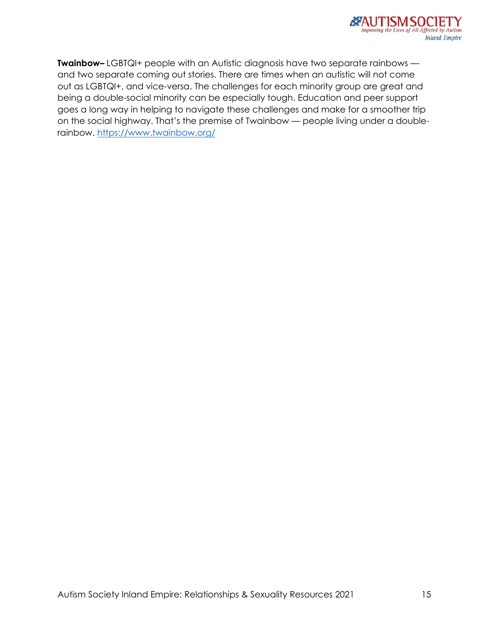

**Twainbow–** LGBTQI+ people with an Autistic diagnosis have two separate rainbows and two separate coming out stories. There are times when an autistic will not come out as LGBTQI+, and vice-versa. The challenges for each minority group are great and being a double-social minority can be especially tough. Education and peer support goes a long way in helping to navigate these challenges and make for a smoother trip on the social highway. That's the premise of Twainbow — people living under a doublerainbow.<https://www.twainbow.org/>